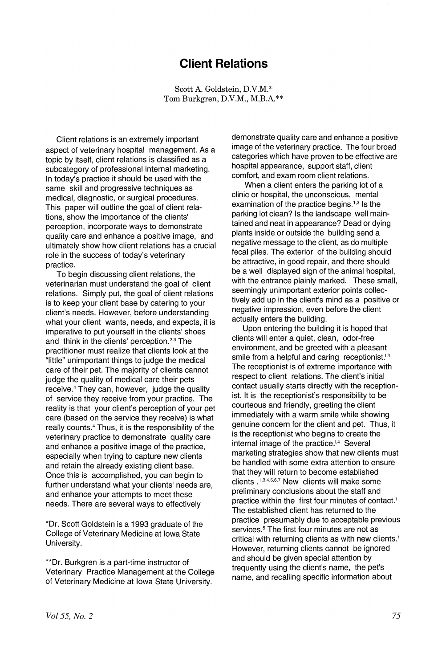## **Client Relations**

Scott A. Goldstein, D.V.M.\* Tom Burkgren, D.V.M., M.B.A.\*\*

Client relations is an extremely important aspect of veterinary hospital management. As a topic by itself, client relations is classified as a subcategory of professional internal marketing. In today's practice it should be used with the same skill and progressive techniques as medical, diagnostic, or surgical procedures. This paper will outline the goal of client relations, show the importance of the clients' perception, incorporate ways to demonstrate quality care and enhance a positive image, and ultimately show how client relations has a crucial role in the success of today's veterinary practice.

To begin discussing client relations, the veterinarian must understand the goal of client relations. Simply put, the goal of client relations is to keep your client base by catering to your client's needs. However, before understanding what your client wants, needs, and expects, it is imperative to put yourself in the clients' shoes and think in the clients' perception.<sup>2,3</sup> The practitioner must realize that clients look at the "little" unimportant things to judge the medical care of their pet. The majority of clients cannot judge the quality of medical care their pets receive.<sup>4</sup> They can, however, judge the quality of service they receive from your practice. The reality is that your client's perception of your pet care (based on the service they receive) is what really counts.<sup>4</sup> Thus, it is the responsibility of the veterinary practice to demonstrate quality care and enhance a positive image of the practice, especially when trying to capture new clients and retain the already existing client base. Once this is accomplished, you can begin to further understand what your clients' needs are, and enhance your attempts to meet these needs. There are several ways to effectively

\*Dr. Scott Goldstein is a 1993 graduate of the College of Veterinary Medicine at Iowa State University.

\*\*Dr. Burkgren is a part-time instructor of Veterinary Practice Management at the College of Veterinary Medicine at Iowa State University.

demonstrate quality care and enhance a positive image of the veterinary practice. The four broad categories which have proven to be effective are hospital appearance, support staff, client comfort, and exam room client relations.

When a client enters the parking lot of a clinic or hospital, the unconscious, mental examination of the practice begins.<sup>1,3</sup> Is the parking lot clean? Is the landscape well maintained and neat in appearance? Dead or dying plants inside or outside the building send a negative message to the client, as do multiple fecal piles. The exterior of the building should be attractive, in good repair, and there should be a well displayed sign of the animal hospital, with the entrance plainly marked. These small, seemingly unimportant exterior points collectively add up in the client's mind as a positive or negative impression, even before the client actually enters the building.

Upon entering the building it is hoped that clients will enter a quiet, clean, odor-free environment, and be greeted with a pleasant smile from a helpful and caring receptionist. $53$ The receptionist is of extreme importance with respect to client relations. The client's initial contact usually starts directly with the receptionist. It is the receptionist's responsibility to be courteous and friendly, greeting the client immediately with a warm smile while showing genuine concern for the client and pet. Thus, it is the receptionist who begins to create the internal image of the practice.<sup> $\downarrow$ 4</sup> Several marketing strategies show that new clients must be handled with some extra attention to ensure that they will return to become established clients . 1,3,4,5,6,7 New clients will make some preliminary conclusions about the staff and practice within the first four minutes of contact.<sup>1</sup> The established client has returned to the practice presumably due to acceptable previous services.<sup>5</sup> The first four minutes are not as critical with returning clients as with new clients.<sup>1</sup> However, returning clients cannot be ignored and should be given special attention by frequently using the client's name, the pet's name, and recalling specific information about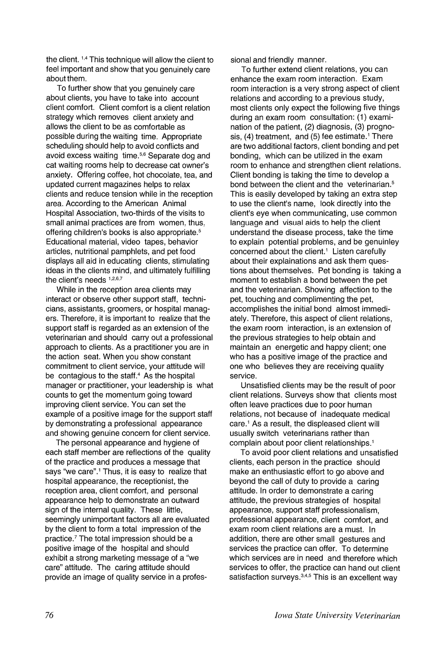the client. 1,4 This technique will allow the client to feel important and show that you genuinely care about them.

To further show that you genuinely care about clients, you have to take into account client comfort. Client comfort is a client relation strategy which removes client anxiety and allows the client to be as comfortable as possible during the waiting time. Appropriate scheduling should help to avoid conflicts and avoid excess waiting time.<sup>5,6</sup> Separate dog and cat waiting rooms help to decrease cat owner's anxiety. Offering coffee, hot chocolate, tea, and updated current magazines helps to relax clients and reduce tension while in the reception area. According to the American Animal Hospital Association, two-thirds of the visits to small animal practices are from women, thus. offering children's books is also appropriate.<sup>5</sup> Educational material, video tapes, behavior articles, nutritional pamphlets, and pet food displays all aid in educating clients, stimulating ideas in the clients mind, and ultimately fulfilling the client's needs 1,2,6,7

While in the reception area clients may interact or observe other support staff, technicians, assistants, groomers, or hospital managers. Therefore, it is important to realize that the support staff is regarded as an extension of the veterinarian and should carry out a professional approach to clients. As a practitioner you are in the action seat. When you show constant commitment to client service, your attitude will be contagious to the staff.<sup>4</sup> As the hospital manager or practitioner, your leadership is what counts to get the momentum going toward improving client service. You can set the example of a positive image for the support staff by demonstrating a professional appearance and showing genuine concern for client service.

The personal appearance and hygiene of each staff member are reflections of the quality of the practice and produces a message that says "we care".<sup>1</sup> Thus, it is easy to realize that hospital appearance, the receptionist, the reception area, client comfort, and personal appearance help to demonstrate an outward sign of the internal quality. These little, seemingly unimportant factors all are evaluated by the client to form a total impression of the practice.7The total impression should be a positive image of the hospital and should exhibit a strong marketing message of a "we care" attitude. The caring attitude should provide an image of quality service in a professional and friendly manner.

To further extend client relations, you can enhance the exam room interaction. Exam room interaction is a very strong aspect of client relations and according to a previous study, most clients only expect the following five things during an exam room consultation: (1) examination of the patient, (2) diagnosis, (3) prognosis,  $(4)$  treatment, and  $(5)$  fee estimate.<sup>1</sup> There are two additional factors, client bonding and pet bonding, which can be utilized in the exam room to enhance and strengthen client relations. Client bonding is taking the time to develop a bond between the client and the veterinarian.<sup>5</sup> This is easily developed by taking an extra step to use the client's name, look directly into the client's eye when communicating, use common language and visual aids to help the client understand the disease process, take the time to explain potential problems, and be genuinley concerned about the client.<sup>1</sup> Listen carefully about their explainations and ask them questions about themselves. Pet bonding is taking a moment to establish a bond between the pet and the veterinarian. Showing affection to the pet, touching and complimenting the pet, accomplishes the initial bond almost immediately. Therefore, this aspect of client relations, the exam room interaction, is an extension of the previous strategies to help obtain and maintain an energetic and happy client; one who has a positive image of the practice and one who believes they are receiving quality service.

Unsatisfied clients may be the result of poor client relations. Surveys show that clients most often leave practices due to poor human relations, not because of inadequate medical care.<sup>1</sup> As a result, the displeased client will usually switch veterinarians rather than complain about poor client relationships.1

To avoid poor client relations and unsatisfied clients, each person in the practice should make an enthusiastic effort to go above and beyond the call of duty to provide a caring attitude. In order to demonstrate a caring attitude, the previous strategies of hospital appearance, support staff professionalism, professional appearance, client comfort, and exam room client relations are a must. In addition, there are other small gestures and services the practice can offer. To determine which services are in need and therefore which services to offer, the practice can hand out client satisfaction surveys.<sup>3,4,5</sup> This is an excellent way